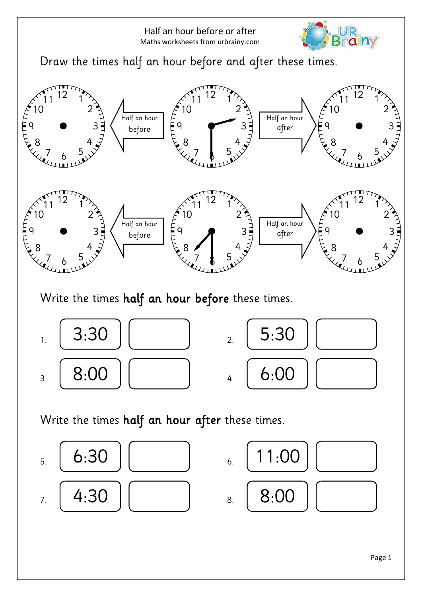



Write the times half an hour before these times.



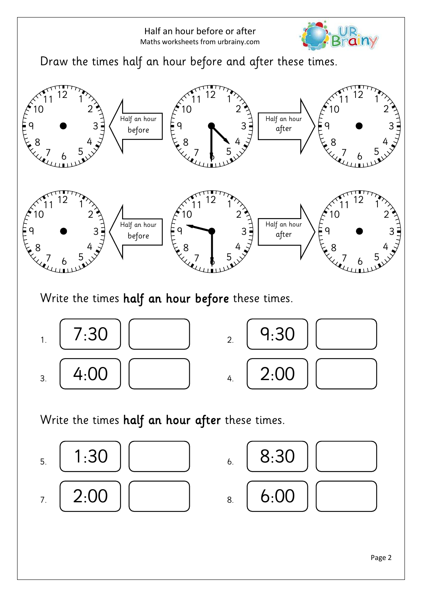



Write the times half an hour before these times.



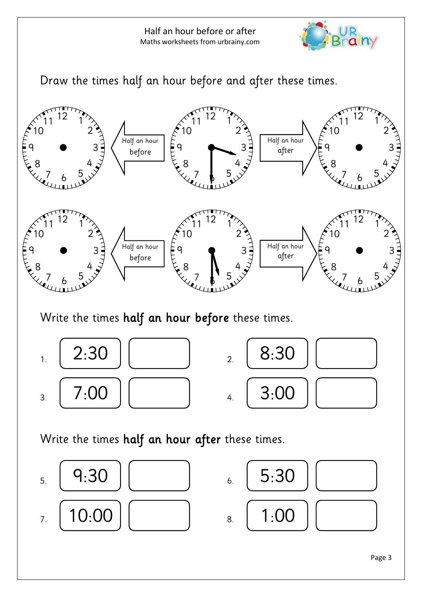



Write the times half an hour before these times.



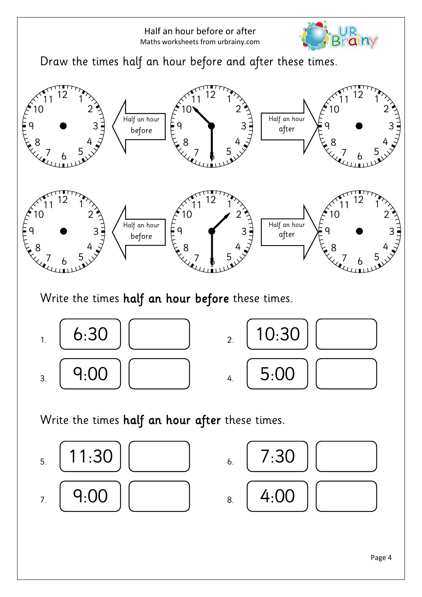



Write the times half an hour before these times.